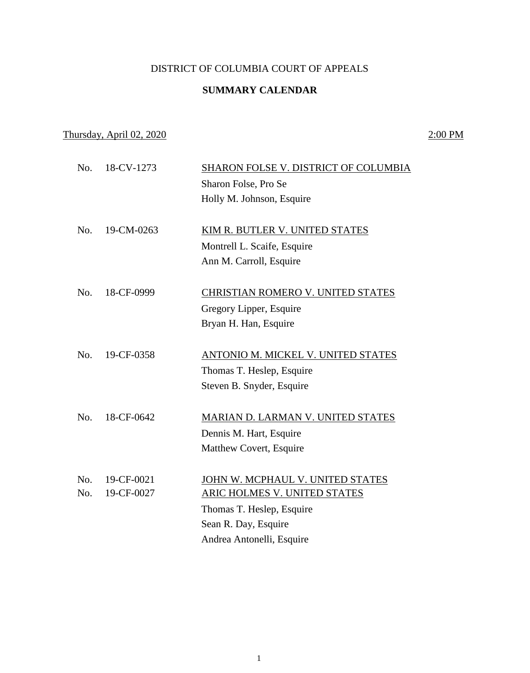## DISTRICT OF COLUMBIA COURT OF APPEALS

#### **SUMMARY CALENDAR**

# Thursday, April 02, 2020 2:00 PM

| No. | 18-CV-1273 | <b>SHARON FOLSE V. DISTRICT OF COLUMBIA</b> |
|-----|------------|---------------------------------------------|
|     |            | Sharon Folse, Pro Se                        |
|     |            | Holly M. Johnson, Esquire                   |
| No. | 19-CM-0263 | KIM R. BUTLER V. UNITED STATES              |
|     |            | Montrell L. Scaife, Esquire                 |
|     |            | Ann M. Carroll, Esquire                     |
| No. | 18-CF-0999 | CHRISTIAN ROMERO V. UNITED STATES           |
|     |            | Gregory Lipper, Esquire                     |
|     |            | Bryan H. Han, Esquire                       |
| No. | 19-CF-0358 | ANTONIO M. MICKEL V. UNITED STATES          |
|     |            | Thomas T. Heslep, Esquire                   |
|     |            | Steven B. Snyder, Esquire                   |
| No. | 18-CF-0642 | MARIAN D. LARMAN V. UNITED STATES           |
|     |            | Dennis M. Hart, Esquire                     |
|     |            | Matthew Covert, Esquire                     |
|     |            |                                             |
| No. | 19-CF-0021 | JOHN W. MCPHAUL V. UNITED STATES            |
| No. | 19-CF-0027 | ARIC HOLMES V. UNITED STATES                |
|     |            | Thomas T. Heslep, Esquire                   |
|     |            | Sean R. Day, Esquire                        |
|     |            | Andrea Antonelli, Esquire                   |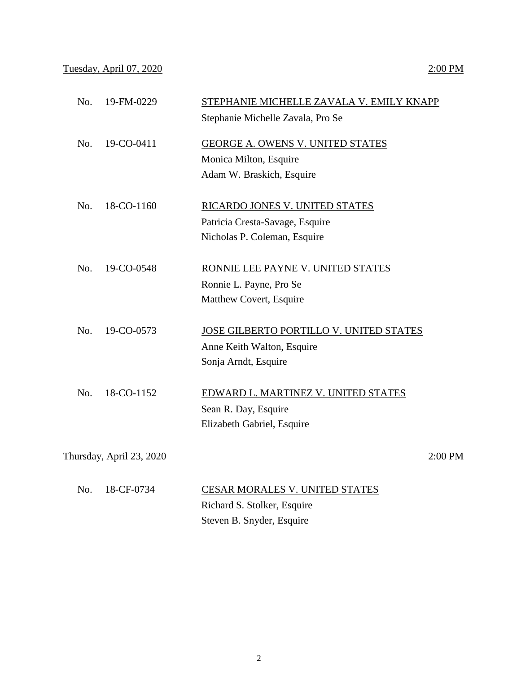## Tuesday, April 07, 2020 2:00 PM

| No.        | 19-FM-0229               | STEPHANIE MICHELLE ZAVALA V. EMILY KNAPP<br>Stephanie Michelle Zavala, Pro Se |         |
|------------|--------------------------|-------------------------------------------------------------------------------|---------|
|            |                          |                                                                               |         |
| No.        | 19-CO-0411               | <b>GEORGE A. OWENS V. UNITED STATES</b>                                       |         |
|            |                          | Monica Milton, Esquire                                                        |         |
|            |                          | Adam W. Braskich, Esquire                                                     |         |
| No.        | 18-CO-1160               | RICARDO JONES V. UNITED STATES                                                |         |
|            |                          | Patricia Cresta-Savage, Esquire                                               |         |
|            |                          | Nicholas P. Coleman, Esquire                                                  |         |
| No.        | 19-CO-0548               | RONNIE LEE PAYNE V. UNITED STATES                                             |         |
|            |                          | Ronnie L. Payne, Pro Se                                                       |         |
|            |                          | Matthew Covert, Esquire                                                       |         |
| No.        | 19-CO-0573               | JOSE GILBERTO PORTILLO V. UNITED STATES                                       |         |
|            |                          | Anne Keith Walton, Esquire                                                    |         |
|            |                          | Sonja Arndt, Esquire                                                          |         |
| No.        | 18-CO-1152               | EDWARD L. MARTINEZ V. UNITED STATES                                           |         |
|            |                          | Sean R. Day, Esquire                                                          |         |
|            |                          | Elizabeth Gabriel, Esquire                                                    |         |
|            |                          |                                                                               |         |
|            | Thursday, April 23, 2020 |                                                                               | 2:00 PM |
| <b>B</b> T | $10.0 \text{ F}$ $0724$  | $\alpha$ pa (d. 160 ) (d. 161 ) (d. 161 )                                     |         |

|  | No. 18-CF-0734 | <b>CESAR MORALES V. UNITED STATES</b> |
|--|----------------|---------------------------------------|
|  |                | Richard S. Stolker, Esquire           |
|  |                | Steven B. Snyder, Esquire             |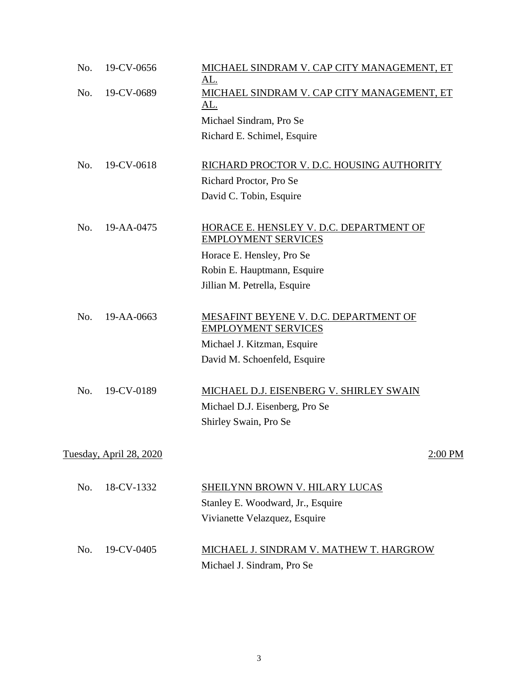| No. | 19-CV-0656              | MICHAEL SINDRAM V. CAP CITY MANAGEMENT, ET<br>AL.                     |
|-----|-------------------------|-----------------------------------------------------------------------|
| No. | 19-CV-0689              | MICHAEL SINDRAM V. CAP CITY MANAGEMENT, ET<br><u>AL.</u>              |
|     |                         | Michael Sindram, Pro Se                                               |
|     |                         | Richard E. Schimel, Esquire                                           |
| No. | 19-CV-0618              | RICHARD PROCTOR V. D.C. HOUSING AUTHORITY                             |
|     |                         | Richard Proctor, Pro Se                                               |
|     |                         | David C. Tobin, Esquire                                               |
| No. | 19-AA-0475              | HORACE E. HENSLEY V. D.C. DEPARTMENT OF<br><b>EMPLOYMENT SERVICES</b> |
|     |                         | Horace E. Hensley, Pro Se                                             |
|     |                         | Robin E. Hauptmann, Esquire                                           |
|     |                         | Jillian M. Petrella, Esquire                                          |
| No. | 19-AA-0663              | MESAFINT BEYENE V. D.C. DEPARTMENT OF<br><b>EMPLOYMENT SERVICES</b>   |
|     |                         | Michael J. Kitzman, Esquire                                           |
|     |                         | David M. Schoenfeld, Esquire                                          |
| No. | 19-CV-0189              | MICHAEL D.J. EISENBERG V. SHIRLEY SWAIN                               |
|     |                         | Michael D.J. Eisenberg, Pro Se                                        |
|     |                         | Shirley Swain, Pro Se                                                 |
|     | Tuesday, April 28, 2020 | 2:00 PM                                                               |
|     |                         |                                                                       |
| No. | 18-CV-1332              | SHEILYNN BROWN V. HILARY LUCAS                                        |
|     |                         | Stanley E. Woodward, Jr., Esquire                                     |
|     |                         | Vivianette Velazquez, Esquire                                         |
| No. | 19-CV-0405              | MICHAEL J. SINDRAM V. MATHEW T. HARGROW                               |
|     |                         | Michael J. Sindram, Pro Se                                            |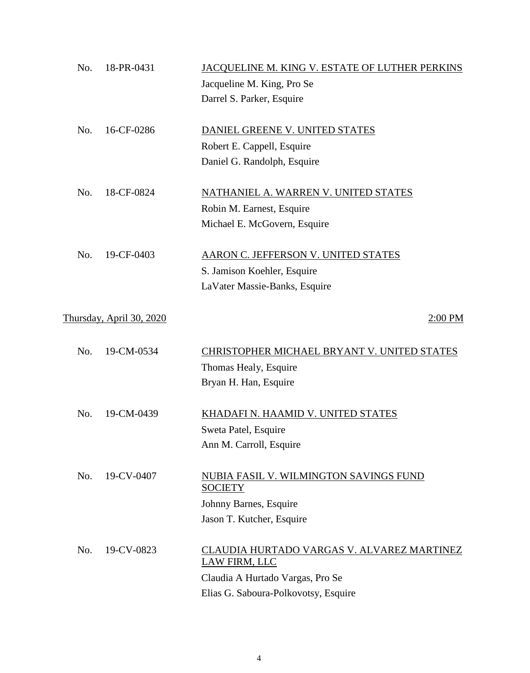| No. | 18-PR-0431               | JACQUELINE M. KING V. ESTATE OF LUTHER PERKINS           |
|-----|--------------------------|----------------------------------------------------------|
|     |                          | Jacqueline M. King, Pro Se                               |
|     |                          | Darrel S. Parker, Esquire                                |
|     |                          |                                                          |
| No. | 16-CF-0286               | DANIEL GREENE V. UNITED STATES                           |
|     |                          | Robert E. Cappell, Esquire                               |
|     |                          | Daniel G. Randolph, Esquire                              |
| No. | 18-CF-0824               | NATHANIEL A. WARREN V. UNITED STATES                     |
|     |                          | Robin M. Earnest, Esquire                                |
|     |                          | Michael E. McGovern, Esquire                             |
| No. | 19-CF-0403               | <b>AARON C. JEFFERSON V. UNITED STATES</b>               |
|     |                          | S. Jamison Koehler, Esquire                              |
|     |                          | LaVater Massie-Banks, Esquire                            |
|     |                          |                                                          |
|     | Thursday, April 30, 2020 | 2:00 PM                                                  |
| No. | 19-CM-0534               | CHRISTOPHER MICHAEL BRYANT V. UNITED STATES              |
|     |                          | Thomas Healy, Esquire                                    |
|     |                          | Bryan H. Han, Esquire                                    |
|     |                          |                                                          |
| No. | 19-CM-0439               | KHADAFI N. HAAMID V. UNITED STATES                       |
|     |                          | Sweta Patel, Esquire                                     |
|     |                          | Ann M. Carroll, Esquire                                  |
|     |                          |                                                          |
| No. | 19-CV-0407               | NUBIA FASIL V. WILMINGTON SAVINGS FUND<br><b>SOCIETY</b> |
|     |                          | Johnny Barnes, Esquire                                   |
|     |                          | Jason T. Kutcher, Esquire                                |
| No. | 19-CV-0823               | CLAUDIA HURTADO VARGAS V. ALVAREZ MARTINEZ               |
|     |                          | LAW FIRM, LLC                                            |
|     |                          | Claudia A Hurtado Vargas, Pro Se                         |
|     |                          | Elias G. Saboura-Polkovotsy, Esquire                     |